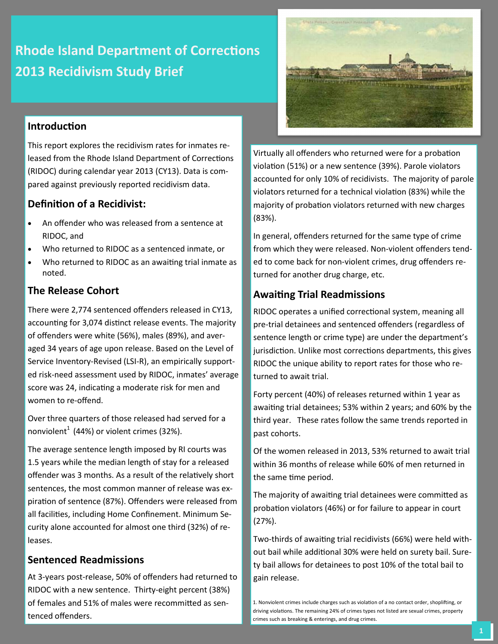# **Rhode Island Department of Corrections 2013 Recidivism Study Brief**

## **Introduction**

This report explores the recidivism rates for inmates released from the Rhode Island Department of Corrections (RIDOC) during calendar year 2013 (CY13). Data is compared against previously reported recidivism data.

### **Definition of a Recidivist:**

- An offender who was released from a sentence at RIDOC, and
- Who returned to RIDOC as a sentenced inmate, or
- Who returned to RIDOC as an awaiting trial inmate as noted.

### **The Release Cohort**

There were 2,774 sentenced offenders released in CY13, accounting for 3,074 distinct release events. The majority of offenders were white (56%), males (89%), and averaged 34 years of age upon release. Based on the Level of Service Inventory-Revised (LSI-R), an empirically supported risk-need assessment used by RIDOC, inmates' average score was 24, indicating a moderate risk for men and women to re-offend.

Over three quarters of those released had served for a nonviolent<sup>1</sup> (44%) or violent crimes (32%).

The average sentence length imposed by RI courts was 1.5 years while the median length of stay for a released offender was 3 months. As a result of the relatively short sentences, the most common manner of release was expiration of sentence (87%). Offenders were released from all facilities, including Home Confinement. Minimum Security alone accounted for almost one third (32%) of releases.

## **Sentenced Readmissions**

At 3-years post-release, 50% of offenders had returned to RIDOC with a new sentence. Thirty-eight percent (38%) of females and 51% of males were recommitted as sentenced offenders.



Virtually all offenders who returned were for a probation violation (51%) or a new sentence (39%). Parole violators accounted for only 10% of recidivists. The majority of parole violators returned for a technical violation (83%) while the majority of probation violators returned with new charges (83%).

In general, offenders returned for the same type of crime from which they were released. Non-violent offenders tended to come back for non-violent crimes, drug offenders returned for another drug charge, etc.

## **Awaiting Trial Readmissions**

RIDOC operates a unified correctional system, meaning all pre-trial detainees and sentenced offenders (regardless of sentence length or crime type) are under the department's jurisdiction. Unlike most corrections departments, this gives RIDOC the unique ability to report rates for those who returned to await trial.

Forty percent (40%) of releases returned within 1 year as awaiting trial detainees; 53% within 2 years; and 60% by the third year. These rates follow the same trends reported in past cohorts.

Of the women released in 2013, 53% returned to await trial within 36 months of release while 60% of men returned in the same time period.

The majority of awaiting trial detainees were committed as probation violators (46%) or for failure to appear in court (27%).

Two-thirds of awaiting trial recidivists (66%) were held without bail while additional 30% were held on surety bail. Surety bail allows for detainees to post 10% of the total bail to gain release.

<sup>1.</sup> Nonviolent crimes include charges such as violation of a no contact order, shoplifting, or driving violations. The remaining 24% of crimes types not listed are sexual crimes, property crimes such as breaking & enterings, and drug crimes.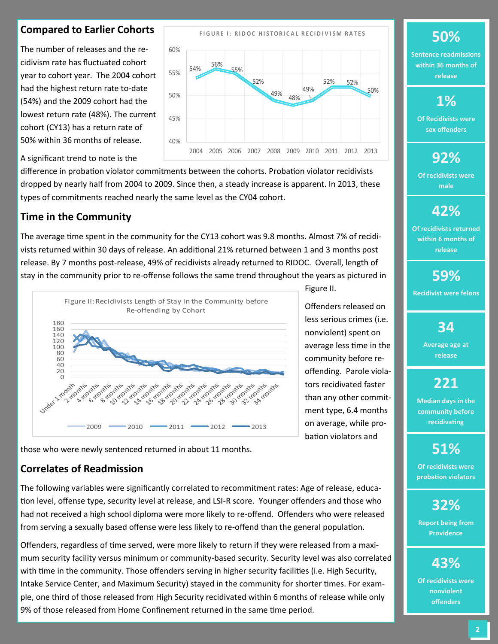## **Compared to Earlier Cohorts**

The number of releases and the recidivism rate has fluctuated cohort year to cohort year. The 2004 cohort had the highest return rate to-date (54%) and the 2009 cohort had the lowest return rate (48%). The current cohort (CY13) has a return rate of 50% within 36 months of release.



Figure II.

Offenders released on less serious crimes (i.e. nonviolent) spent on average less time in the community before reoffending. Parole violators recidivated faster than any other commitment type, 6.4 months on average, while probation violators and

A significant trend to note is the

difference in probation violator commitments between the cohorts. Probation violator recidivists dropped by nearly half from 2004 to 2009. Since then, a steady increase is apparent. In 2013, these types of commitments reached nearly the same level as the CY04 cohort.

## **Time in the Community**

The average time spent in the community for the CY13 cohort was 9.8 months. Almost 7% of recidivists returned within 30 days of release. An additional 21% returned between 1 and 3 months post release. By 7 months post-release, 49% of recidivists already returned to RIDOC. Overall, length of stay in the community prior to re-offense follows the same trend throughout the years as pictured in



those who were newly sentenced returned in about 11 months.

## **Correlates of Readmission**

The following variables were significantly correlated to recommitment rates: Age of release, education level, offense type, security level at release, and LSI-R score. Younger offenders and those who had not received a high school diploma were more likely to re-offend. Offenders who were released from serving a sexually based offense were less likely to re-offend than the general population.

Offenders, regardless of time served, were more likely to return if they were released from a maximum security facility versus minimum or community-based security. Security level was also correlated with time in the community. Those offenders serving in higher security facilities (i.e. High Security, Intake Service Center, and Maximum Security) stayed in the community for shorter times. For example, one third of those released from High Security recidivated within 6 months of release while only 9% of those released from Home Confinement returned in the same time period.

## **F I G U R E I : R I D O C H I S T O R I C A L R E C I D I V I S M R A T E S 50%**

**Sentence readmissions within 36 months of release**

## **1%**

**Of Recidivists were sex offenders**

## **92%**

**Of recidivists were male**

## **42%**

**Of recidivists returned within 6 months of release**

# **59%**

**Recidivist were felons** 

## **34**

**Average age at release**

# **221**

**Median days in the community before recidivating**

## **51%**

**Of recidivists were probation violators**

# **32%**

**Report being from Providence**

# **43%**

**Of recidivists were nonviolent offenders**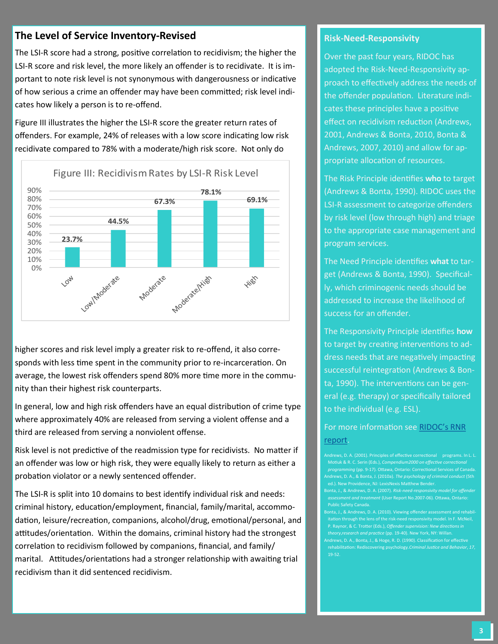## **The Level of Service Inventory-Revised**

The LSI-R score had a strong, positive correlation to recidivism; the higher the LSI-R score and risk level, the more likely an offender is to recidivate. It is important to note risk level is not synonymous with dangerousness or indicative of how serious a crime an offender may have been committed; risk level indicates how likely a person is to re-offend.

Figure III illustrates the higher the LSI-R score the greater return rates of offenders. For example, 24% of releases with a low score indicating low risk recidivate compared to 78% with a moderate/high risk score. Not only do



higher scores and risk level imply a greater risk to re-offend, it also corresponds with less time spent in the community prior to re-incarceration. On average, the lowest risk offenders spend 80% more time more in the community than their highest risk counterparts.

In general, low and high risk offenders have an equal distribution of crime type where approximately 40% are released from serving a violent offense and a third are released from serving a nonviolent offense.

Risk level is not predictive of the readmission type for recidivists. No matter if an offender was low or high risk, they were equally likely to return as either a probation violator or a newly sentenced offender.

The LSI-R is split into 10 domains to best identify individual risk and needs: criminal history, education/employment, financial, family/marital, accommodation, leisure/recreation, companions, alcohol/drug, emotional/personal, and attitudes/orientation. Within the domains, criminal history had the strongest correlation to recidivism followed by companions, financial, and family/ marital. Attitudes/orientations had a stronger relationship with awaiting trial recidivism than it did sentenced recidivism.

#### **Risk-Need-Responsivity**

Over the past four years, RIDOC has adopted the Risk-Need-Responsivity approach to effectively address the needs of the offender population. Literature indicates these principles have a positive effect on recidivism reduction (Andrews, 2001, Andrews & Bonta, 2010, Bonta & Andrews, 2007, 2010) and allow for appropriate allocation of resources.

The Risk Principle identifies **who** to target (Andrews & Bonta, 1990). RIDOC uses the LSI-R assessment to categorize offenders by risk level (low through high) and triage to the appropriate case management and program services.

The Need Principle identifies **what** to target (Andrews & Bonta, 1990). Specifically, which criminogenic needs should be addressed to increase the likelihood of success for an offender.

The Responsivity Principle identifies **how**  to target by creating interventions to address needs that are negatively impacting successful reintegration (Andrews & Bonta, 1990). The interventions can be general (e.g. therapy) or specifically tailored to the individual (e.g. ESL).

For more information see [RIDOC's RNR](http://www.doc.ri.gov/docs/RNR%20Report-%202014.pdf)  [report.](http://www.doc.ri.gov/docs/RNR%20Report-%202014.pdf)